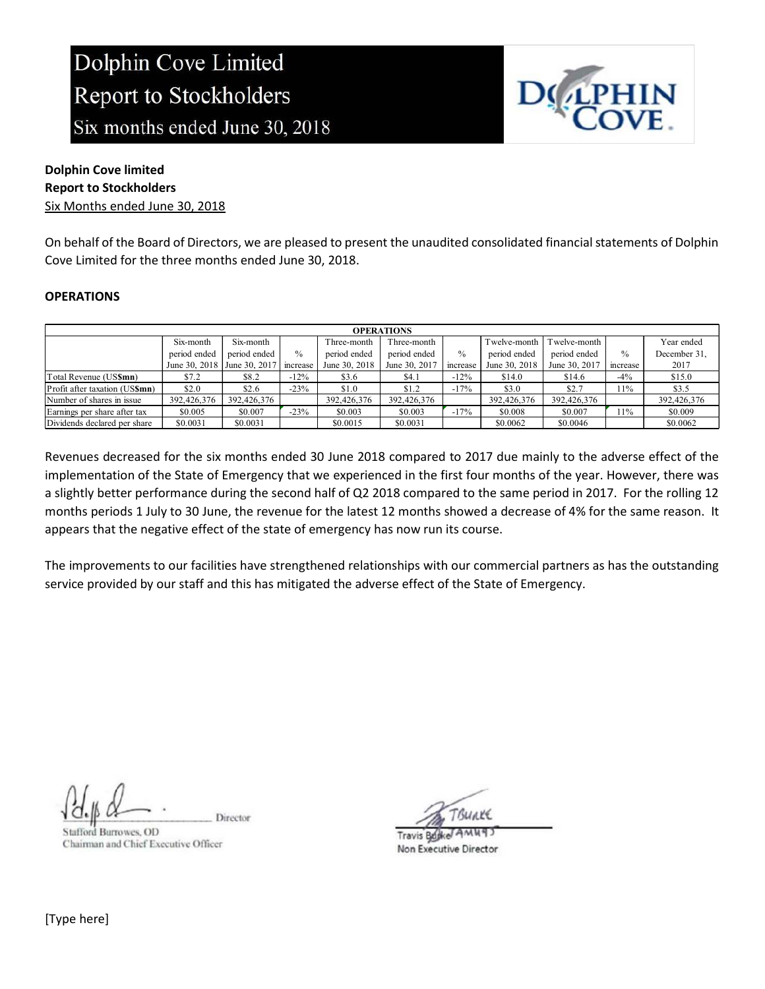

### Dolphin Cove limited Report to Stockholders

Six Months ended June 30, 2018

On behalf of the Board of Directors, we are pleased to present the unaudited consolidated financial statements of Dolphin Cove Limited for the three months ended June 30, 2018.

### **OPERATIONS**

| <b>OPERATIONS</b>              |               |               |          |               |               |               |               |               |          |              |
|--------------------------------|---------------|---------------|----------|---------------|---------------|---------------|---------------|---------------|----------|--------------|
|                                | Six-month     | Six-month     |          | Three-month   | Three-month   |               | Twelve-month  | Twelve-month  |          | Year ended   |
|                                | period ended  | period ended  | $\%$     | period ended  | period ended  | $\frac{0}{0}$ | period ended  | period ended  | $\%$     | December 31, |
|                                | June 30, 2018 | June 30, 2017 | increase | June 30, 2018 | June 30, 2017 | increase      | June 30, 2018 | June 30, 2017 | increase | 2017         |
| Total Revenue (US\$mn)         | \$7.2         | \$8.2         | $-12\%$  | \$3.6         | \$4.1         | $-12\%$       | \$14.0        | \$14.6        | $-4%$    | \$15.0       |
| Profit after taxation (US\$mn) | \$2.0         | \$2.6         | $-23%$   | \$1.0         | \$1.2         | $-17%$        | \$3.0         | \$2.7         | 11%      | \$3.5        |
| Number of shares in issue      | 392,426,376   | 392,426,376   |          | 392,426,376   | 392,426,376   |               | 392,426,376   | 392,426,376   |          | 392,426,376  |
| Earnings per share after tax   | \$0.005       | \$0.007       | $-23%$   | \$0.003       | \$0.003       | $-17%$        | \$0.008       | \$0.007       | 11%      | \$0.009      |
| Dividends declared per share   | \$0.0031      | \$0.0031      |          | \$0.0015      | \$0.0031      |               | \$0.0062      | \$0.0046      |          | \$0.0062     |

Revenues decreased for the six months ended 30 June 2018 compared to 2017 due mainly to the adverse effect of the implementation of the State of Emergency that we experienced in the first four months of the year. However, there was a slightly better performance during the second half of Q2 2018 compared to the same period in 2017. For the rolling 12 months periods 1 July to 30 June, the revenue for the latest 12 months showed a decrease of 4% for the same reason. It appears that the negative effect of the state of emergency has now run its course.

The improvements to our facilities have strengthened relationships with our commercial partners as has the outstanding service provided by our staff and this has mitigated the adverse effect of the State of Emergency.

Director

Stafford Burrowes, OD Chairman and Chief Executive Officer

TRUAVE

**Travis Bujke** Non Executive Director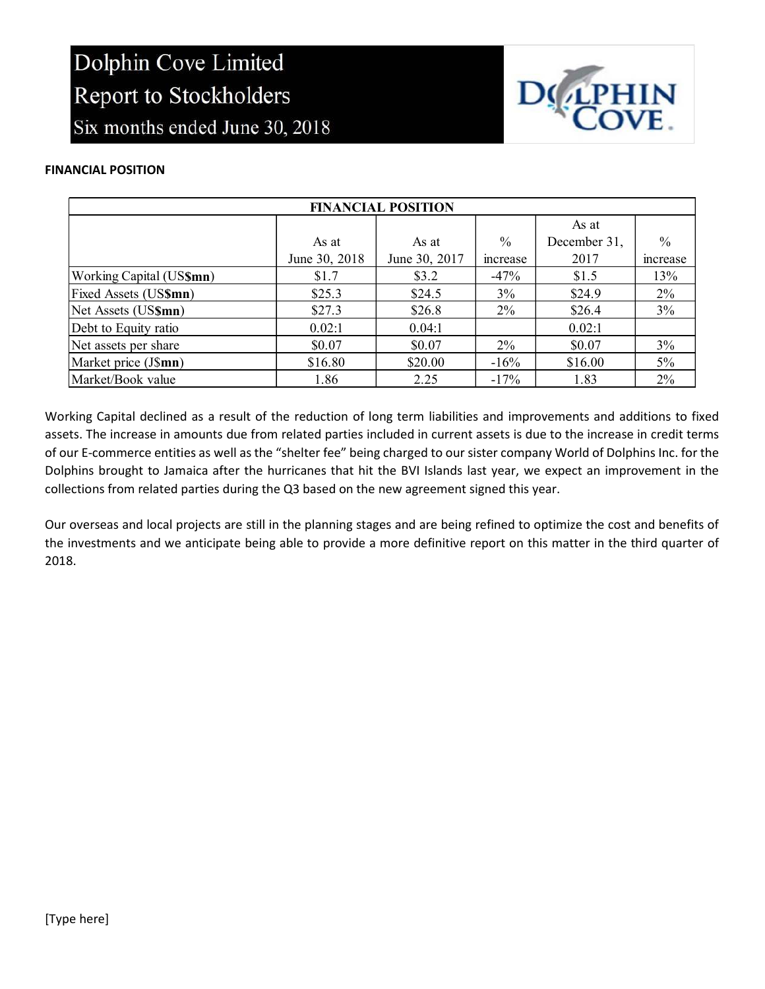

### FINANCIAL POSITION

| <b>FINANCIAL POSITION</b> |               |               |               |              |               |  |  |
|---------------------------|---------------|---------------|---------------|--------------|---------------|--|--|
|                           |               |               |               | As at        |               |  |  |
|                           | As at         | As at         | $\frac{0}{0}$ | December 31, | $\frac{0}{0}$ |  |  |
|                           | June 30, 2018 | June 30, 2017 | mcrease       | 2017         | mcrease       |  |  |
| Working Capital (US\$mn)  | \$1.7         | \$3.2\$       | $-47%$        | \$1.5        | 13%           |  |  |
| Fixed Assets (US\$mn)     | \$25.3        | \$24.5        | 3%            | \$24.9       | $2\%$         |  |  |
| Net Assets (US\$mn)       | \$27.3        | \$26.8        | $2\%$         | \$26.4       | 3%            |  |  |
| Debt to Equity ratio      | 0.02:1        | 0.04:1        |               | 0.02:1       |               |  |  |
| Net assets per share      | \$0.07        | \$0.07        | $2\%$         | \$0.07       | 3%            |  |  |
| Market price (J\$mn)      | \$16.80       | \$20.00       | $-16\%$       | \$16.00      | $5\%$         |  |  |
| Market/Book value         | 1.86          | 2.25          | $-17%$        | 1.83         | 2%            |  |  |

Working Capital declined as a result of the reduction of long term liabilities and improvements and additions to fixed assets. The increase in amounts due from related parties included in current assets is due to the increase in credit terms of our E-commerce entities as well as the "shelter fee" being charged to our sister company World of Dolphins Inc. for the Dolphins brought to Jamaica after the hurricanes that hit the BVI Islands last year, we expect an improvement in the collections from related parties during the Q3 based on the new agreement signed this year.

Our overseas and local projects are still in the planning stages and are being refined to optimize the cost and benefits of the investments and we anticipate being able to provide a more definitive report on this matter in the third quarter of 2018.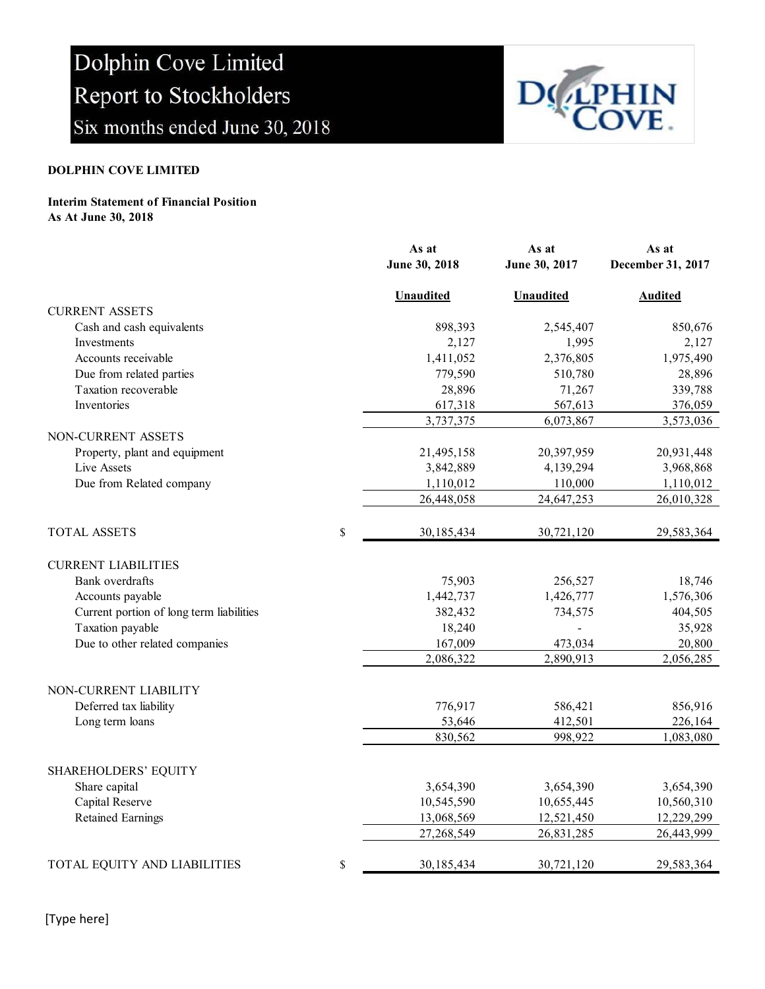

### DOLPHIN COVE LIMITED

#### Interim Statement of Financial Position As At June 30, 2018

|                                          | As at<br>June 30, 2018 | As at<br>June 30, 2017 | As at<br>December 31, 2017 |
|------------------------------------------|------------------------|------------------------|----------------------------|
|                                          |                        |                        |                            |
|                                          | <b>Unaudited</b>       | <b>Unaudited</b>       | <b>Audited</b>             |
| <b>CURRENT ASSETS</b>                    |                        |                        |                            |
| Cash and cash equivalents                | 898,393                | 2,545,407              | 850,676                    |
| Investments                              | 2,127                  | 1,995                  | 2,127                      |
| Accounts receivable                      | 1,411,052              | 2,376,805              | 1,975,490                  |
| Due from related parties                 | 779,590                | 510,780                | 28,896                     |
| Taxation recoverable                     | 28,896                 | 71,267                 | 339,788                    |
| Inventories                              | 617,318                | 567,613                | 376,059                    |
|                                          | 3,737,375              | 6,073,867              | 3,573,036                  |
| NON-CURRENT ASSETS                       |                        |                        |                            |
| Property, plant and equipment            | 21,495,158             | 20,397,959             | 20,931,448                 |
| Live Assets                              | 3,842,889              | 4,139,294              | 3,968,868                  |
| Due from Related company                 | 1,110,012              | 110,000                | 1,110,012                  |
|                                          | 26,448,058             | 24,647,253             | 26,010,328                 |
| <b>TOTAL ASSETS</b>                      | \$<br>30,185,434       | 30,721,120             | 29,583,364                 |
| <b>CURRENT LIABILITIES</b>               |                        |                        |                            |
| Bank overdrafts                          | 75,903                 | 256,527                | 18,746                     |
| Accounts payable                         | 1,442,737              | 1,426,777              | 1,576,306                  |
| Current portion of long term liabilities | 382,432                | 734,575                | 404,505                    |
| Taxation payable                         | 18,240                 |                        | 35,928                     |
| Due to other related companies           | 167,009                | 473,034                | 20,800                     |
|                                          | 2,086,322              | 2,890,913              | 2,056,285                  |
|                                          |                        |                        |                            |
| NON-CURRENT LIABILITY                    |                        |                        |                            |
| Deferred tax liability                   | 776,917                | 586,421                | 856,916                    |
| Long term loans                          | 53,646                 | 412,501                | 226,164                    |
|                                          | 830,562                | 998,922                | 1,083,080                  |
| <b>SHAREHOLDERS' EQUITY</b>              |                        |                        |                            |
| Share capital                            | 3,654,390              | 3,654,390              | 3,654,390                  |
| Capital Reserve                          | 10,545,590             | 10,655,445             | 10,560,310                 |
| <b>Retained Earnings</b>                 | 13,068,569             | 12,521,450             | 12,229,299                 |
|                                          | 27,268,549             | 26,831,285             | 26,443,999                 |
| TOTAL EQUITY AND LIABILITIES             | \$<br>30,185,434       | 30,721,120             | 29,583,364                 |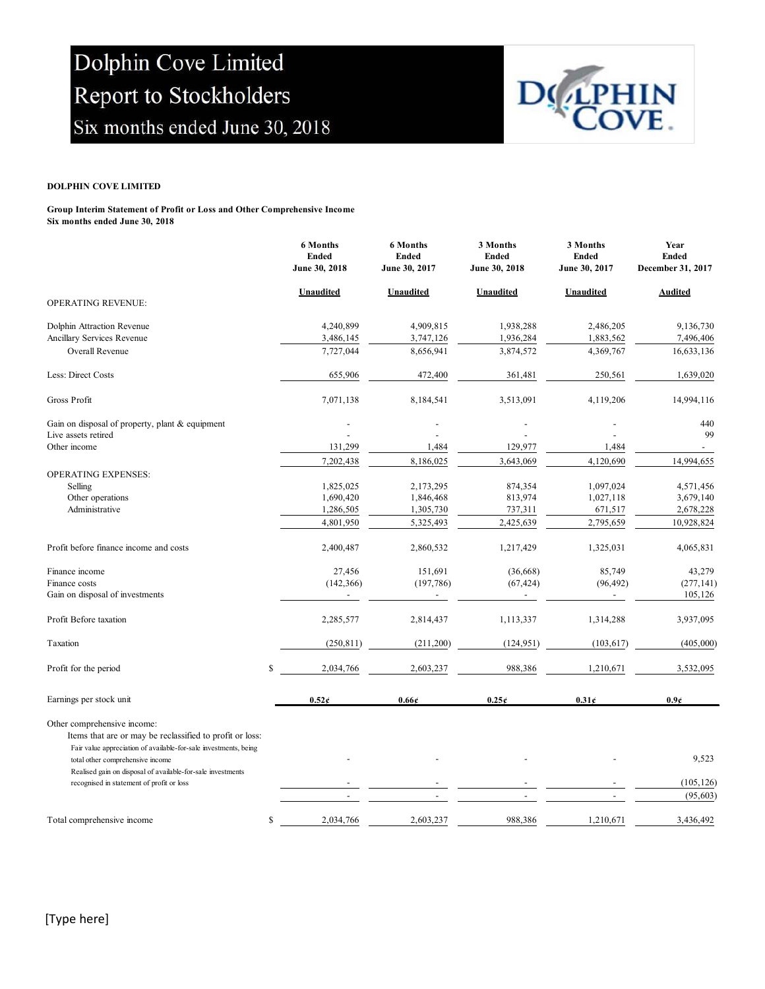

#### DOLPHIN COVE LIMITED

Group Interim Statement of Profit or Loss and Other Comprehensive Income Six months ended June 30, 2018

|                                                                                                                                                             | 6 Months<br><b>Ended</b><br>June 30, 2018 | <b>6 Months</b><br><b>Ended</b><br>June 30, 2017 | 3 Months<br><b>Ended</b><br>June 30, 2018 | 3 Months<br><b>Ended</b><br>June 30, 2017 | Year<br><b>Ended</b><br>December 31, 2017 |
|-------------------------------------------------------------------------------------------------------------------------------------------------------------|-------------------------------------------|--------------------------------------------------|-------------------------------------------|-------------------------------------------|-------------------------------------------|
| OPERATING REVENUE:                                                                                                                                          | <b>Unaudited</b>                          | <b>Unaudited</b>                                 | <b>Unaudited</b>                          | Unaudited                                 | <b>Audited</b>                            |
| Dolphin Attraction Revenue                                                                                                                                  | 4,240,899                                 | 4,909,815                                        | 1,938,288                                 | 2,486,205                                 | 9,136,730                                 |
| Ancillary Services Revenue                                                                                                                                  | 3,486,145                                 | 3,747,126                                        | 1,936,284                                 | 1,883,562                                 | 7,496,406                                 |
| Overall Revenue                                                                                                                                             | 7,727,044                                 | 8,656,941                                        | 3,874,572                                 | 4,369,767                                 | 16,633,136                                |
| Less: Direct Costs                                                                                                                                          | 655,906                                   | 472,400                                          | 361,481                                   | 250,561                                   | 1,639,020                                 |
| Gross Profit                                                                                                                                                | 7,071,138                                 | 8,184,541                                        | 3,513,091                                 | 4,119,206                                 | 14,994,116                                |
| Gain on disposal of property, plant & equipment                                                                                                             |                                           |                                                  |                                           |                                           | 440                                       |
| Live assets retired<br>Other income                                                                                                                         | 131,299                                   | 1,484                                            | 129,977                                   | 1,484                                     | 99                                        |
|                                                                                                                                                             | 7,202,438                                 | 8,186,025                                        | 3,643,069                                 | 4,120,690                                 | 14,994,655                                |
| OPERATING EXPENSES:                                                                                                                                         |                                           |                                                  |                                           |                                           |                                           |
| Selling                                                                                                                                                     | 1,825,025                                 | 2,173,295                                        | 874,354                                   | 1,097,024                                 | 4,571,456                                 |
| Other operations                                                                                                                                            | 1,690,420                                 | 1,846,468                                        | 813,974                                   | 1,027,118                                 | 3,679,140                                 |
| Administrative                                                                                                                                              | 1,286,505                                 | 1,305,730                                        | 737,311                                   | 671,517                                   | 2,678,228                                 |
|                                                                                                                                                             | 4,801,950                                 | 5,325,493                                        | 2,425,639                                 | 2,795,659                                 | 10,928,824                                |
| Profit before finance income and costs                                                                                                                      | 2,400,487                                 | 2,860,532                                        | 1,217,429                                 | 1,325,031                                 | 4,065,831                                 |
| Finance income                                                                                                                                              | 27,456                                    | 151,691                                          | (36, 668)                                 | 85,749                                    | 43,279                                    |
| Finance costs                                                                                                                                               | (142, 366)                                | (197, 786)                                       | (67, 424)                                 | (96, 492)                                 | (277, 141)                                |
| Gain on disposal of investments                                                                                                                             |                                           |                                                  |                                           |                                           | 105,126                                   |
| Profit Before taxation                                                                                                                                      | 2,285,577                                 | 2,814,437                                        | 1,113,337                                 | 1,314,288                                 | 3,937,095                                 |
| Taxation                                                                                                                                                    | (250, 811)                                | (211,200)                                        | (124, 951)                                | (103, 617)                                | (405,000)                                 |
| Profit for the period                                                                                                                                       | \$<br>2,034,766                           | 2,603,237                                        | 988,386                                   | 1,210,671                                 | 3,532,095                                 |
| Earnings per stock unit                                                                                                                                     | $0.52\epsilon$                            | 0.66c                                            | 0.25c                                     | 0.31c                                     | 0.9 <sub>e</sub>                          |
| Other comprehensive income:<br>Items that are or may be reclassified to profit or loss:<br>Fair value appreciation of available-for-sale investments, being |                                           |                                                  |                                           |                                           |                                           |
| total other comprehensive income<br>Realised gain on disposal of available-for-sale investments                                                             |                                           |                                                  |                                           |                                           | 9,523                                     |
| recognised in statement of profit or loss                                                                                                                   |                                           |                                                  |                                           |                                           | (105, 126)                                |
|                                                                                                                                                             |                                           |                                                  |                                           |                                           | (95, 603)                                 |
| Total comprehensive income                                                                                                                                  | \$<br>2,034,766                           | 2,603,237                                        | 988,386                                   | 1,210,671                                 | 3,436,492                                 |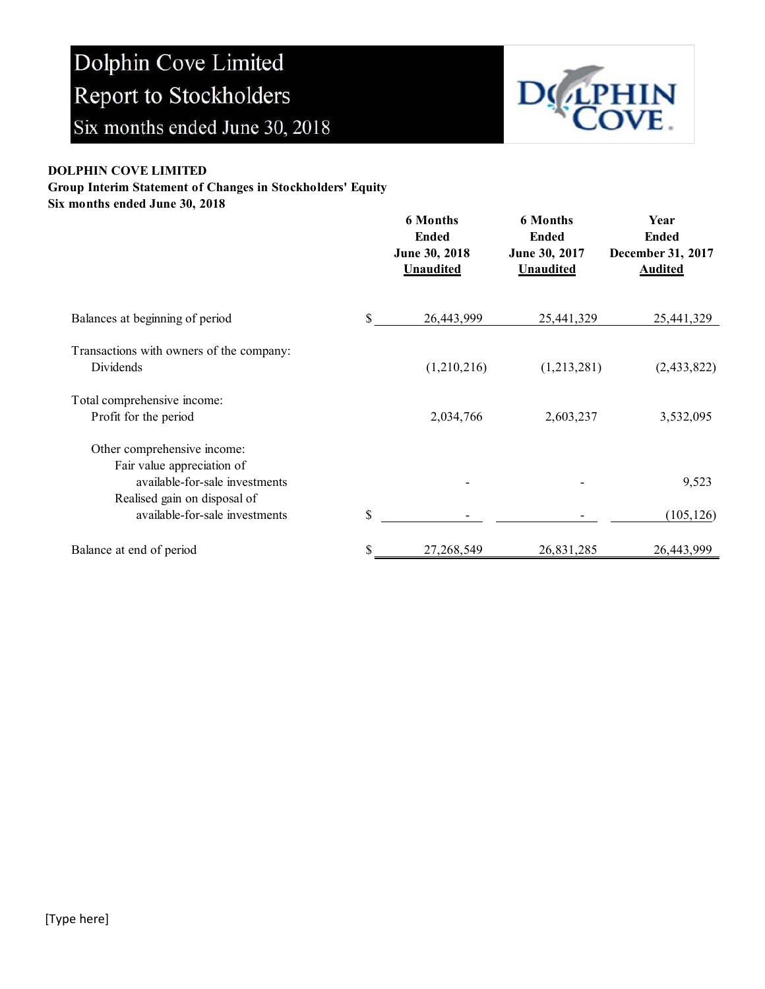

### DOLPHIN COVE LIMITED

Group Interim Statement of Changes in Stockholders' Equity

Six months ended June 30, 2018

|                                                                                             | <b>6 Months</b><br><b>Ended</b><br>June 30, 2018<br><b>Unaudited</b> | <b>6 Months</b><br><b>Ended</b><br>June 30, 2017<br><b>Unaudited</b> | Year<br><b>Ended</b><br>December 31, 2017<br><b>Audited</b> |
|---------------------------------------------------------------------------------------------|----------------------------------------------------------------------|----------------------------------------------------------------------|-------------------------------------------------------------|
| Balances at beginning of period                                                             | \$<br>26,443,999                                                     | 25,441,329                                                           | 25,441,329                                                  |
| Transactions with owners of the company:<br>Dividends                                       | (1,210,216)                                                          | (1,213,281)                                                          | (2,433,822)                                                 |
| Total comprehensive income:<br>Profit for the period                                        | 2,034,766                                                            | 2,603,237                                                            | 3,532,095                                                   |
| Other comprehensive income:<br>Fair value appreciation of<br>available-for-sale investments |                                                                      |                                                                      | 9,523                                                       |
| Realised gain on disposal of<br>available-for-sale investments                              | \$                                                                   |                                                                      | (105, 126)                                                  |
| Balance at end of period                                                                    | \$<br>27, 268, 549                                                   | 26,831,285                                                           | 26,443,999                                                  |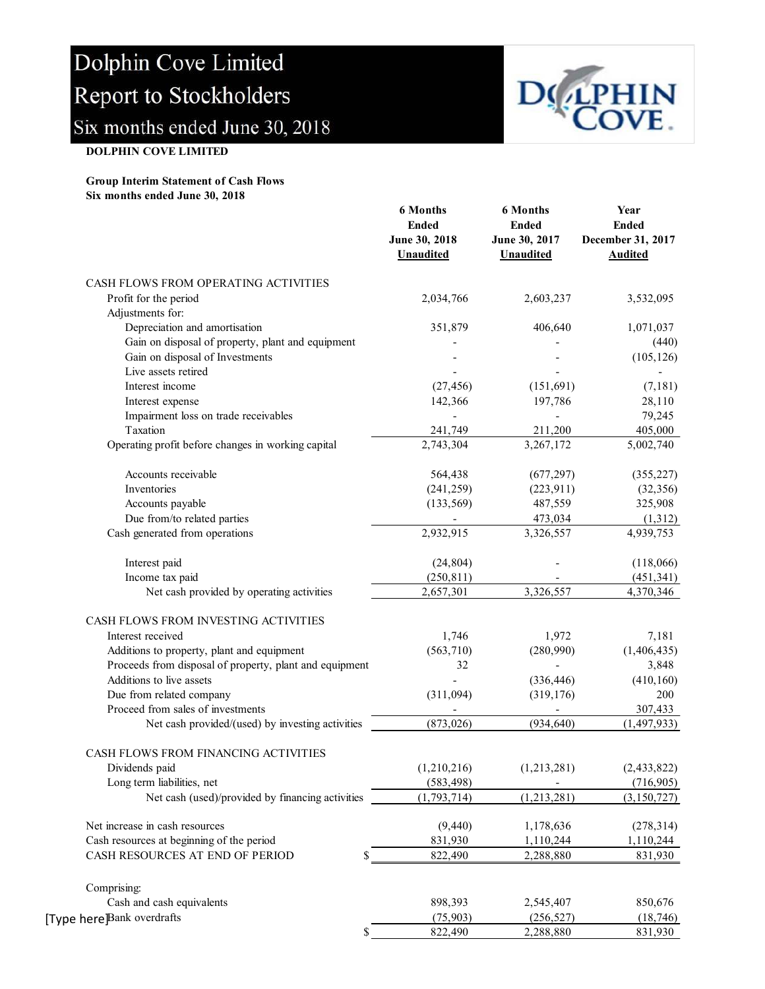

#### DOLPHIN COVE LIMITED

#### Group Interim Statement of Cash Flows Six months ended June 30, 2018

|                                                         | <b>6 Months</b><br><b>Ended</b><br>June 30, 2018<br><b>Unaudited</b> | <b>6 Months</b><br><b>Ended</b><br>June 30, 2017<br>Unaudited | Year<br><b>Ended</b><br>December 31, 2017<br><b>Audited</b> |
|---------------------------------------------------------|----------------------------------------------------------------------|---------------------------------------------------------------|-------------------------------------------------------------|
| CASH FLOWS FROM OPERATING ACTIVITIES                    |                                                                      |                                                               |                                                             |
| Profit for the period                                   | 2,034,766                                                            | 2,603,237                                                     | 3,532,095                                                   |
| Adjustments for:                                        |                                                                      |                                                               |                                                             |
| Depreciation and amortisation                           | 351,879                                                              | 406,640                                                       | 1,071,037                                                   |
| Gain on disposal of property, plant and equipment       |                                                                      |                                                               | (440)                                                       |
| Gain on disposal of Investments                         |                                                                      |                                                               | (105, 126)                                                  |
| Live assets retired                                     |                                                                      |                                                               |                                                             |
| Interest income                                         | (27, 456)                                                            | (151, 691)                                                    | (7,181)                                                     |
| Interest expense                                        | 142,366                                                              | 197,786                                                       | 28,110                                                      |
| Impairment loss on trade receivables                    |                                                                      |                                                               | 79,245                                                      |
| Taxation                                                | 241,749                                                              | 211,200                                                       | 405,000                                                     |
| Operating profit before changes in working capital      | 2,743,304                                                            | 3,267,172                                                     | 5,002,740                                                   |
| Accounts receivable                                     | 564,438                                                              | (677, 297)                                                    | (355, 227)                                                  |
| Inventories                                             | (241, 259)                                                           | (223, 911)                                                    | (32, 356)                                                   |
| Accounts payable                                        | (133, 569)                                                           | 487,559                                                       | 325,908                                                     |
| Due from/to related parties                             |                                                                      | 473,034                                                       | (1,312)                                                     |
| Cash generated from operations                          | 2,932,915                                                            | 3,326,557                                                     | 4,939,753                                                   |
| Interest paid                                           | (24, 804)                                                            |                                                               | (118,066)                                                   |
| Income tax paid                                         | (250, 811)                                                           |                                                               | (451, 341)                                                  |
| Net cash provided by operating activities               | 2,657,301                                                            | 3,326,557                                                     | 4,370,346                                                   |
| CASH FLOWS FROM INVESTING ACTIVITIES                    |                                                                      |                                                               |                                                             |
| Interest received                                       | 1,746                                                                | 1,972                                                         | 7,181                                                       |
| Additions to property, plant and equipment              | (563, 710)                                                           | (280,990)                                                     | (1,406,435)                                                 |
| Proceeds from disposal of property, plant and equipment | 32                                                                   |                                                               | 3,848                                                       |
| Additions to live assets                                |                                                                      | (336, 446)                                                    | (410, 160)                                                  |
| Due from related company                                | (311,094)                                                            | (319, 176)                                                    | 200                                                         |
| Proceed from sales of investments                       |                                                                      |                                                               | 307,433                                                     |
| Net cash provided/(used) by investing activities        | (873, 026)                                                           | (934, 640)                                                    | (1, 497, 933)                                               |
| CASH FLOWS FROM FINANCING ACTIVITIES                    |                                                                      |                                                               |                                                             |
| Dividends paid                                          | (1,210,216)                                                          | (1,213,281)                                                   | (2, 433, 822)                                               |
| Long term liabilities, net                              | (583, 498)                                                           |                                                               | (716,905)                                                   |
| Net cash (used)/provided by financing activities        | (1,793,714)                                                          | (1, 213, 281)                                                 | (3,150,727)                                                 |
| Net increase in cash resources                          | (9, 440)                                                             | 1,178,636                                                     | (278, 314)                                                  |
| Cash resources at beginning of the period               | 831,930                                                              | 1,110,244                                                     | 1,110,244                                                   |
| CASH RESOURCES AT END OF PERIOD                         | 822,490                                                              | 2,288,880                                                     | 831,930                                                     |
| Comprising:                                             |                                                                      |                                                               |                                                             |
| Cash and cash equivalents                               | 898,393                                                              | 2,545,407                                                     | 850,676                                                     |
| [Type here]Bank overdrafts                              | (75, 903)                                                            | (256, 527)                                                    | (18, 746)                                                   |
| \$                                                      | 822,490                                                              | 2,288,880                                                     | 831,930                                                     |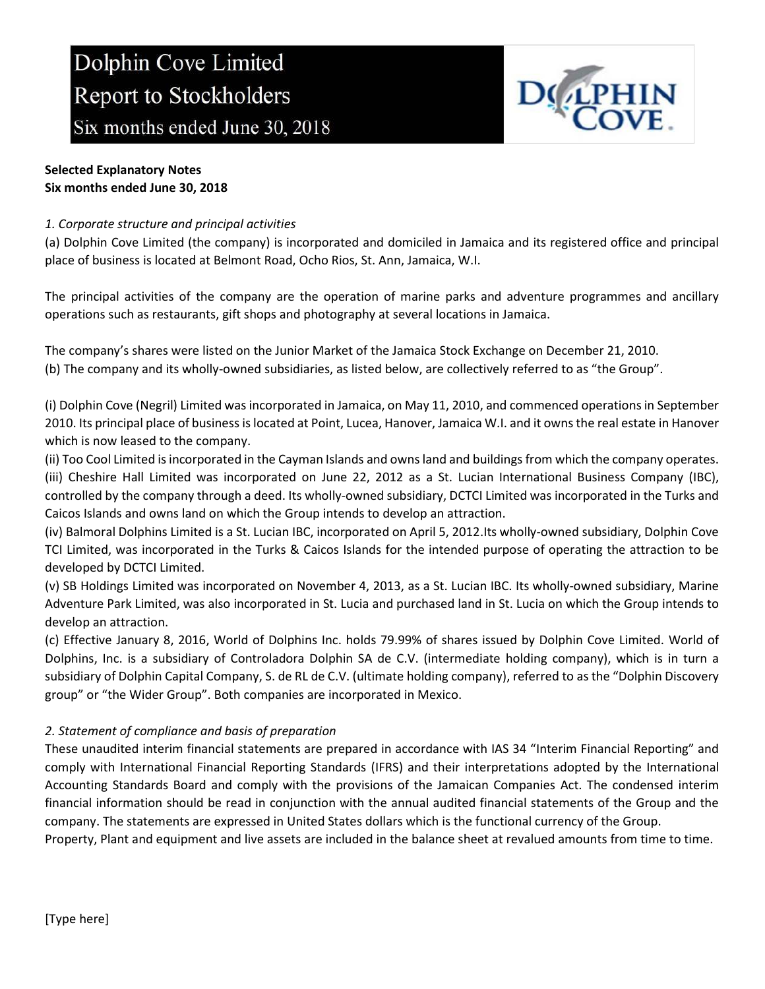

## Selected Explanatory Notes Six months ended June 30, 2018

## 1. Corporate structure and principal activities

(a) Dolphin Cove Limited (the company) is incorporated and domiciled in Jamaica and its registered office and principal place of business is located at Belmont Road, Ocho Rios, St. Ann, Jamaica, W.I.

The principal activities of the company are the operation of marine parks and adventure programmes and ancillary operations such as restaurants, gift shops and photography at several locations in Jamaica.

The company's shares were listed on the Junior Market of the Jamaica Stock Exchange on December 21, 2010. (b) The company and its wholly-owned subsidiaries, as listed below, are collectively referred to as "the Group".

(i) Dolphin Cove (Negril) Limited was incorporated in Jamaica, on May 11, 2010, and commenced operations in September 2010. Its principal place of business is located at Point, Lucea, Hanover, Jamaica W.I. and it owns the real estate in Hanover which is now leased to the company.

(ii) Too Cool Limited is incorporated in the Cayman Islands and owns land and buildings from which the company operates. (iii) Cheshire Hall Limited was incorporated on June 22, 2012 as a St. Lucian International Business Company (IBC), controlled by the company through a deed. Its wholly-owned subsidiary, DCTCI Limited was incorporated in the Turks and Caicos Islands and owns land on which the Group intends to develop an attraction.

(iv) Balmoral Dolphins Limited is a St. Lucian IBC, incorporated on April 5, 2012.Its wholly-owned subsidiary, Dolphin Cove TCI Limited, was incorporated in the Turks & Caicos Islands for the intended purpose of operating the attraction to be developed by DCTCI Limited.

(v) SB Holdings Limited was incorporated on November 4, 2013, as a St. Lucian IBC. Its wholly-owned subsidiary, Marine Adventure Park Limited, was also incorporated in St. Lucia and purchased land in St. Lucia on which the Group intends to develop an attraction.

(c) Effective January 8, 2016, World of Dolphins Inc. holds 79.99% of shares issued by Dolphin Cove Limited. World of Dolphins, Inc. is a subsidiary of Controladora Dolphin SA de C.V. (intermediate holding company), which is in turn a subsidiary of Dolphin Capital Company, S. de RL de C.V. (ultimate holding company), referred to as the "Dolphin Discovery group" or "the Wider Group". Both companies are incorporated in Mexico.

# 2. Statement of compliance and basis of preparation

These unaudited interim financial statements are prepared in accordance with IAS 34 "Interim Financial Reporting" and comply with International Financial Reporting Standards (IFRS) and their interpretations adopted by the International Accounting Standards Board and comply with the provisions of the Jamaican Companies Act. The condensed interim financial information should be read in conjunction with the annual audited financial statements of the Group and the company. The statements are expressed in United States dollars which is the functional currency of the Group.